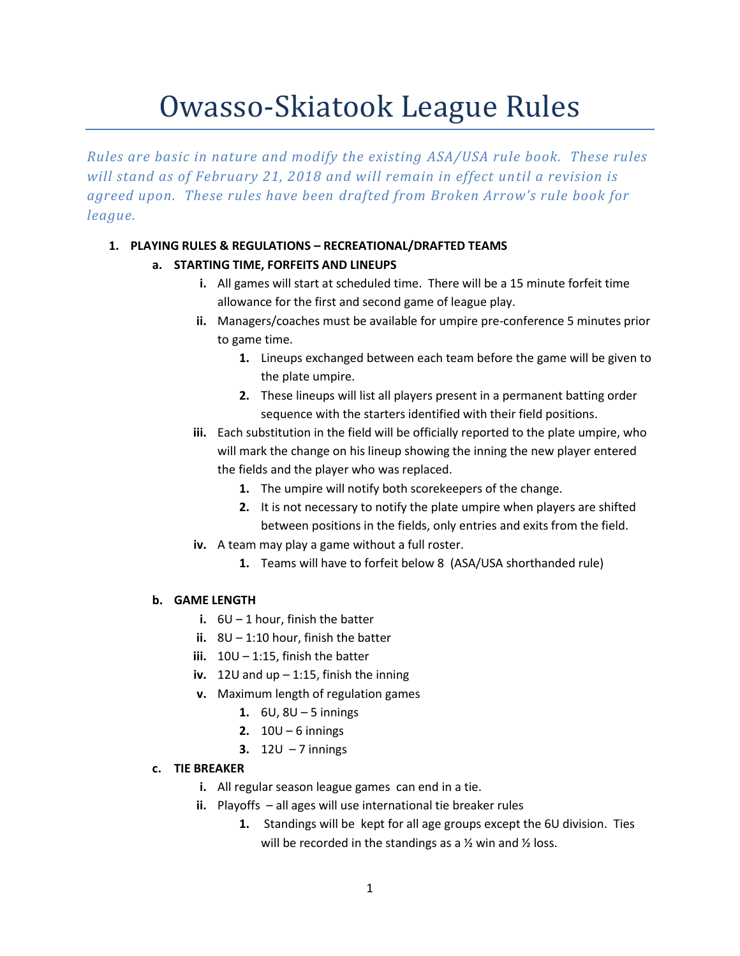# Owasso-Skiatook League Rules

*Rules are basic in nature and modify the existing ASA/USA rule book. These rules will stand as of February 21, 2018 and will remain in effect until a revision is agreed upon. These rules have been drafted from Broken Arrow's rule book for league.*

## **1. PLAYING RULES & REGULATIONS – RECREATIONAL/DRAFTED TEAMS**

## **a. STARTING TIME, FORFEITS AND LINEUPS**

- **i.** All games will start at scheduled time. There will be a 15 minute forfeit time allowance for the first and second game of league play.
- **ii.** Managers/coaches must be available for umpire pre-conference 5 minutes prior to game time.
	- **1.** Lineups exchanged between each team before the game will be given to the plate umpire.
	- **2.** These lineups will list all players present in a permanent batting order sequence with the starters identified with their field positions.
- **iii.** Each substitution in the field will be officially reported to the plate umpire, who will mark the change on his lineup showing the inning the new player entered the fields and the player who was replaced.
	- **1.** The umpire will notify both scorekeepers of the change.
	- **2.** It is not necessary to notify the plate umpire when players are shifted between positions in the fields, only entries and exits from the field.
- **iv.** A team may play a game without a full roster.
	- **1.** Teams will have to forfeit below 8 (ASA/USA shorthanded rule)

#### **b. GAME LENGTH**

- **i.** 6U 1 hour, finish the batter
- **ii.** 8U 1:10 hour, finish the batter
- **iii.** 10U 1:15, finish the batter
- **iv.** 12U and up 1:15, finish the inning
- **v.** Maximum length of regulation games
	- **1.** 6U, 8U 5 innings
	- **2.** 10U 6 innings
	- **3.** 12U 7 innings

#### **c. TIE BREAKER**

- **i.** All regular season league games can end in a tie.
- **ii.** Playoffs all ages will use international tie breaker rules
	- **1.** Standings will be kept for all age groups except the 6U division. Ties will be recorded in the standings as a  $\frac{1}{2}$  win and  $\frac{1}{2}$  loss.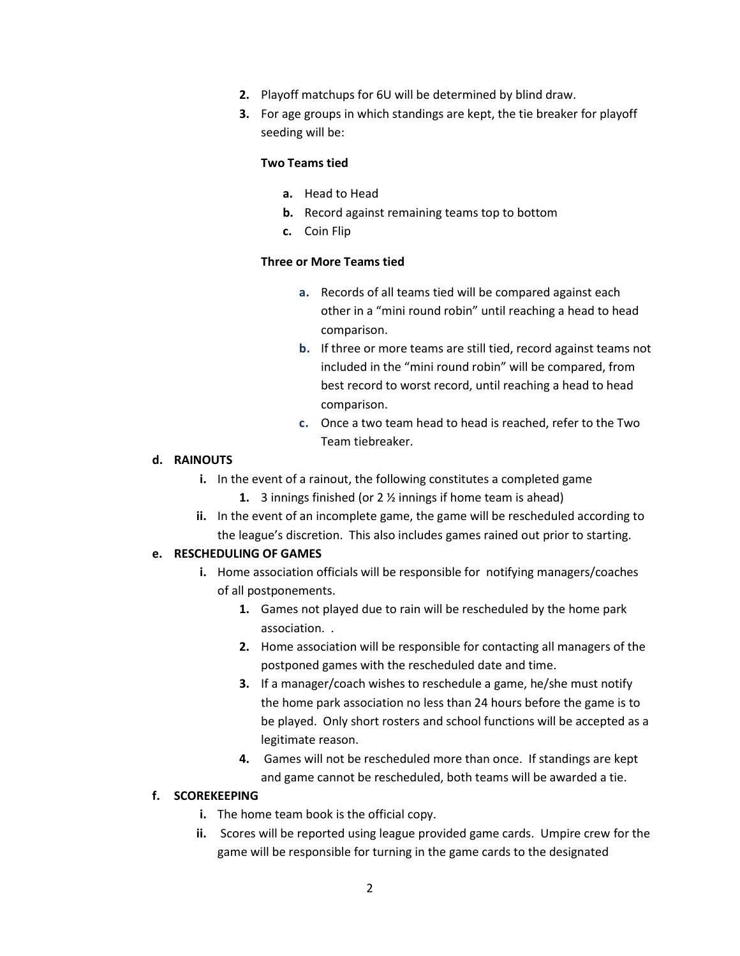- **2.** Playoff matchups for 6U will be determined by blind draw.
- **3.** For age groups in which standings are kept, the tie breaker for playoff seeding will be:

#### **Two Teams tied**

- **a.** Head to Head
- **b.** Record against remaining teams top to bottom
- **c.** Coin Flip

#### **Three or More Teams tied**

- **a.** Records of all teams tied will be compared against each other in a "mini round robin" until reaching a head to head comparison.
- **b.** If three or more teams are still tied, record against teams not included in the "mini round robin" will be compared, from best record to worst record, until reaching a head to head comparison.
- **c.** Once a two team head to head is reached, refer to the Two Team tiebreaker.

#### **d. RAINOUTS**

- **i.** In the event of a rainout, the following constitutes a completed game
	- **1.** 3 innings finished (or 2 ½ innings if home team is ahead)
- **ii.** In the event of an incomplete game, the game will be rescheduled according to the league's discretion. This also includes games rained out prior to starting.

#### **e. RESCHEDULING OF GAMES**

- **i.** Home association officials will be responsible for notifying managers/coaches of all postponements.
	- **1.** Games not played due to rain will be rescheduled by the home park association. .
	- **2.** Home association will be responsible for contacting all managers of the postponed games with the rescheduled date and time.
	- **3.** If a manager/coach wishes to reschedule a game, he/she must notify the home park association no less than 24 hours before the game is to be played. Only short rosters and school functions will be accepted as a legitimate reason.
	- **4.** Games will not be rescheduled more than once. If standings are kept and game cannot be rescheduled, both teams will be awarded a tie.

## **f. SCOREKEEPING**

- **i.** The home team book is the official copy.
- **ii.** Scores will be reported using league provided game cards. Umpire crew for the game will be responsible for turning in the game cards to the designated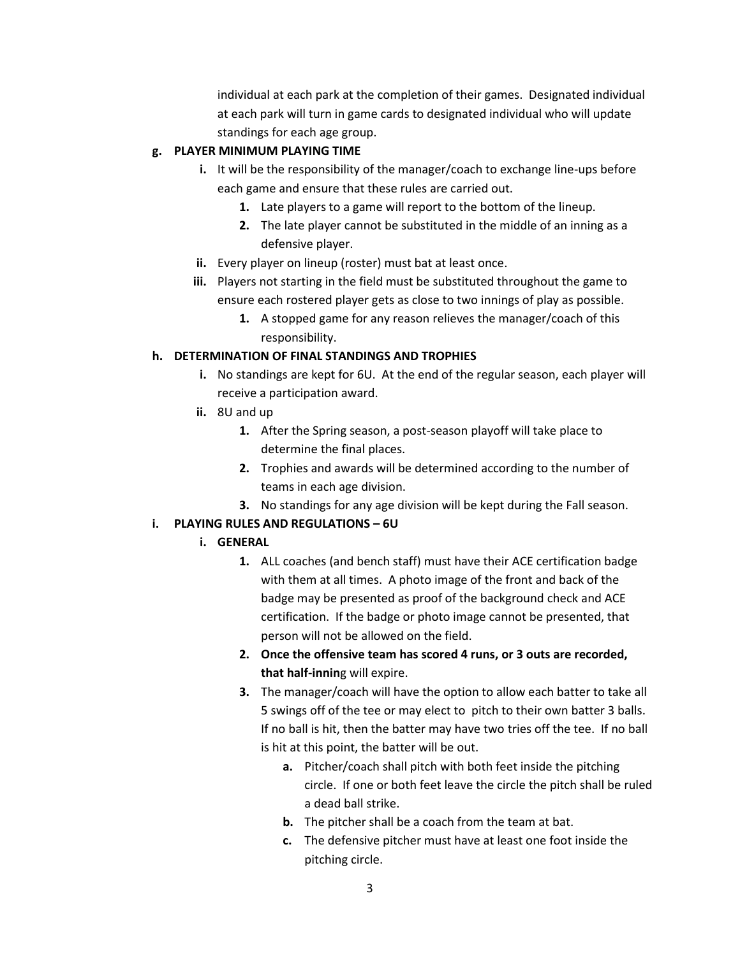individual at each park at the completion of their games. Designated individual at each park will turn in game cards to designated individual who will update standings for each age group.

## **g. PLAYER MINIMUM PLAYING TIME**

- **i.** It will be the responsibility of the manager/coach to exchange line-ups before each game and ensure that these rules are carried out.
	- **1.** Late players to a game will report to the bottom of the lineup.
	- **2.** The late player cannot be substituted in the middle of an inning as a defensive player.
- **ii.** Every player on lineup (roster) must bat at least once.
- **iii.** Players not starting in the field must be substituted throughout the game to ensure each rostered player gets as close to two innings of play as possible.
	- **1.** A stopped game for any reason relieves the manager/coach of this responsibility.

## **h. DETERMINATION OF FINAL STANDINGS AND TROPHIES**

- **i.** No standings are kept for 6U. At the end of the regular season, each player will receive a participation award.
- **ii.** 8U and up
	- **1.** After the Spring season, a post-season playoff will take place to determine the final places.
	- **2.** Trophies and awards will be determined according to the number of teams in each age division.
	- **3.** No standings for any age division will be kept during the Fall season.

## **i. PLAYING RULES AND REGULATIONS – 6U**

#### **i. GENERAL**

- **1.** ALL coaches (and bench staff) must have their ACE certification badge with them at all times. A photo image of the front and back of the badge may be presented as proof of the background check and ACE certification. If the badge or photo image cannot be presented, that person will not be allowed on the field.
- **2. Once the offensive team has scored 4 runs, or 3 outs are recorded, that half-innin**g will expire.
- **3.** The manager/coach will have the option to allow each batter to take all 5 swings off of the tee or may elect to pitch to their own batter 3 balls. If no ball is hit, then the batter may have two tries off the tee. If no ball is hit at this point, the batter will be out.
	- **a.** Pitcher/coach shall pitch with both feet inside the pitching circle. If one or both feet leave the circle the pitch shall be ruled a dead ball strike.
	- **b.** The pitcher shall be a coach from the team at bat.
	- **c.** The defensive pitcher must have at least one foot inside the pitching circle.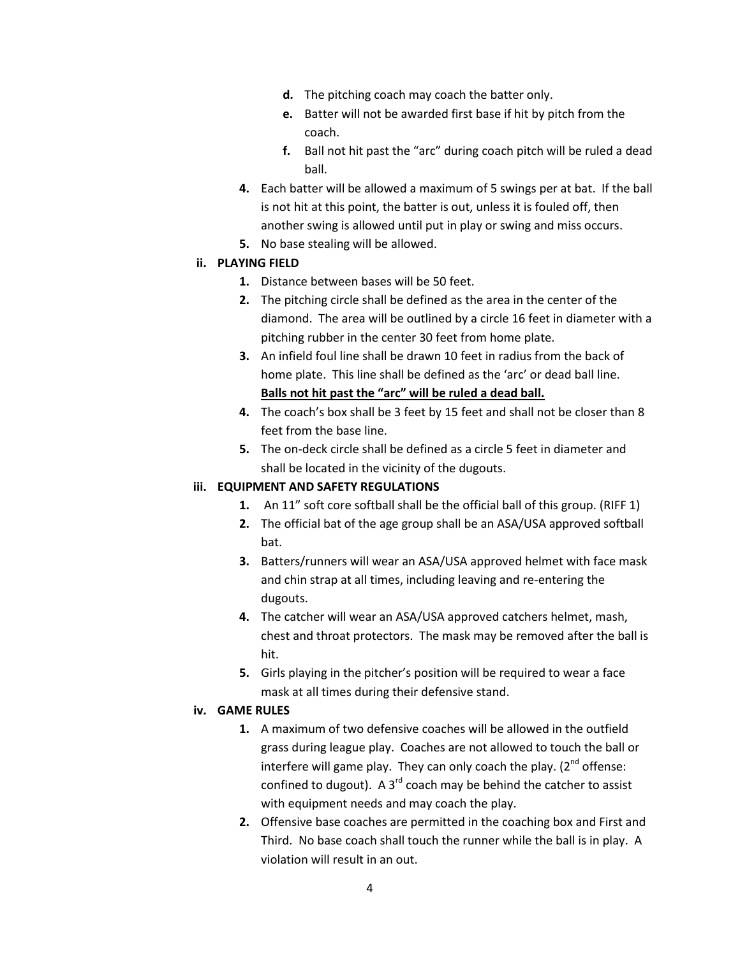- **d.** The pitching coach may coach the batter only.
- **e.** Batter will not be awarded first base if hit by pitch from the coach.
- **f.** Ball not hit past the "arc" during coach pitch will be ruled a dead ball.
- **4.** Each batter will be allowed a maximum of 5 swings per at bat. If the ball is not hit at this point, the batter is out, unless it is fouled off, then another swing is allowed until put in play or swing and miss occurs.
- **5.** No base stealing will be allowed.

#### **ii. PLAYING FIELD**

- **1.** Distance between bases will be 50 feet.
- **2.** The pitching circle shall be defined as the area in the center of the diamond. The area will be outlined by a circle 16 feet in diameter with a pitching rubber in the center 30 feet from home plate.
- **3.** An infield foul line shall be drawn 10 feet in radius from the back of home plate. This line shall be defined as the 'arc' or dead ball line. **Balls not hit past the "arc" will be ruled a dead ball.**
- **4.** The coach's box shall be 3 feet by 15 feet and shall not be closer than 8 feet from the base line.
- **5.** The on-deck circle shall be defined as a circle 5 feet in diameter and shall be located in the vicinity of the dugouts.

#### **iii. EQUIPMENT AND SAFETY REGULATIONS**

- **1.** An 11" soft core softball shall be the official ball of this group. (RIFF 1)
- **2.** The official bat of the age group shall be an ASA/USA approved softball bat.
- **3.** Batters/runners will wear an ASA/USA approved helmet with face mask and chin strap at all times, including leaving and re-entering the dugouts.
- **4.** The catcher will wear an ASA/USA approved catchers helmet, mash, chest and throat protectors. The mask may be removed after the ball is hit.
- **5.** Girls playing in the pitcher's position will be required to wear a face mask at all times during their defensive stand.

#### **iv. GAME RULES**

- **1.** A maximum of two defensive coaches will be allowed in the outfield grass during league play. Coaches are not allowed to touch the ball or interfere will game play. They can only coach the play.  $(2^{nd}$  offense: confined to dugout). A 3<sup>rd</sup> coach may be behind the catcher to assist with equipment needs and may coach the play.
- **2.** Offensive base coaches are permitted in the coaching box and First and Third. No base coach shall touch the runner while the ball is in play. A violation will result in an out.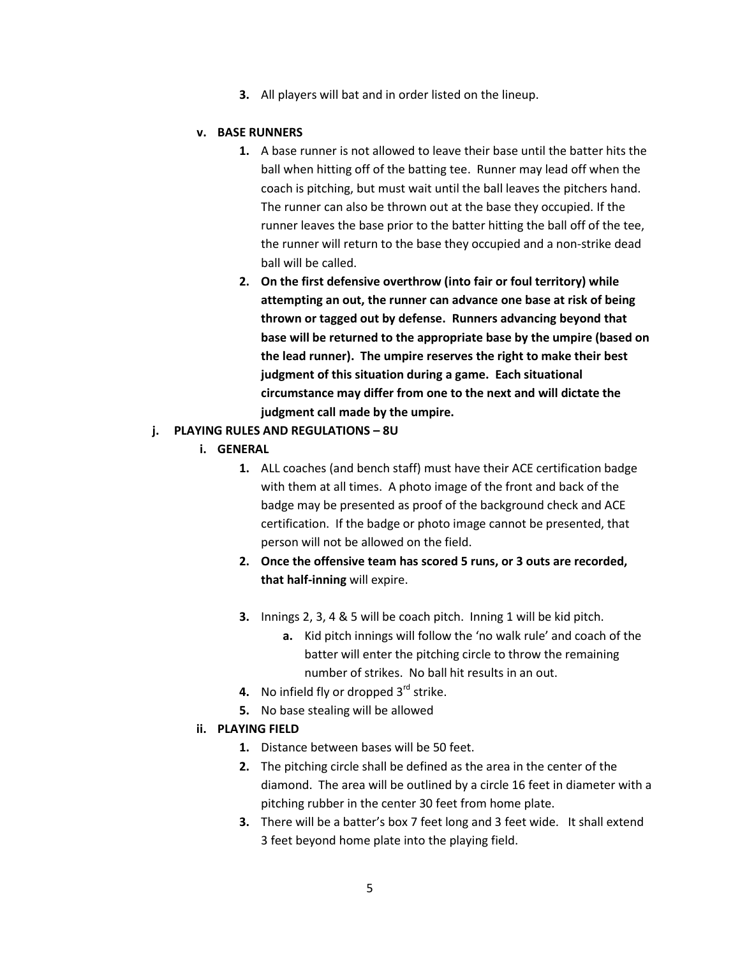**3.** All players will bat and in order listed on the lineup.

#### **v. BASE RUNNERS**

- **1.** A base runner is not allowed to leave their base until the batter hits the ball when hitting off of the batting tee. Runner may lead off when the coach is pitching, but must wait until the ball leaves the pitchers hand. The runner can also be thrown out at the base they occupied. If the runner leaves the base prior to the batter hitting the ball off of the tee, the runner will return to the base they occupied and a non-strike dead ball will be called.
- **2. On the first defensive overthrow (into fair or foul territory) while attempting an out, the runner can advance one base at risk of being thrown or tagged out by defense. Runners advancing beyond that base will be returned to the appropriate base by the umpire (based on the lead runner). The umpire reserves the right to make their best judgment of this situation during a game. Each situational circumstance may differ from one to the next and will dictate the judgment call made by the umpire.**

#### **j. PLAYING RULES AND REGULATIONS – 8U**

- **i. GENERAL**
	- **1.** ALL coaches (and bench staff) must have their ACE certification badge with them at all times. A photo image of the front and back of the badge may be presented as proof of the background check and ACE certification. If the badge or photo image cannot be presented, that person will not be allowed on the field.
	- **2. Once the offensive team has scored 5 runs, or 3 outs are recorded, that half-inning** will expire.
	- **3.** Innings 2, 3, 4 & 5 will be coach pitch. Inning 1 will be kid pitch.
		- **a.** Kid pitch innings will follow the 'no walk rule' and coach of the batter will enter the pitching circle to throw the remaining number of strikes. No ball hit results in an out.
	- **4.** No infield fly or dropped 3<sup>rd</sup> strike.
	- **5.** No base stealing will be allowed

#### **ii. PLAYING FIELD**

- **1.** Distance between bases will be 50 feet.
- **2.** The pitching circle shall be defined as the area in the center of the diamond. The area will be outlined by a circle 16 feet in diameter with a pitching rubber in the center 30 feet from home plate.
- **3.** There will be a batter's box 7 feet long and 3 feet wide. It shall extend 3 feet beyond home plate into the playing field.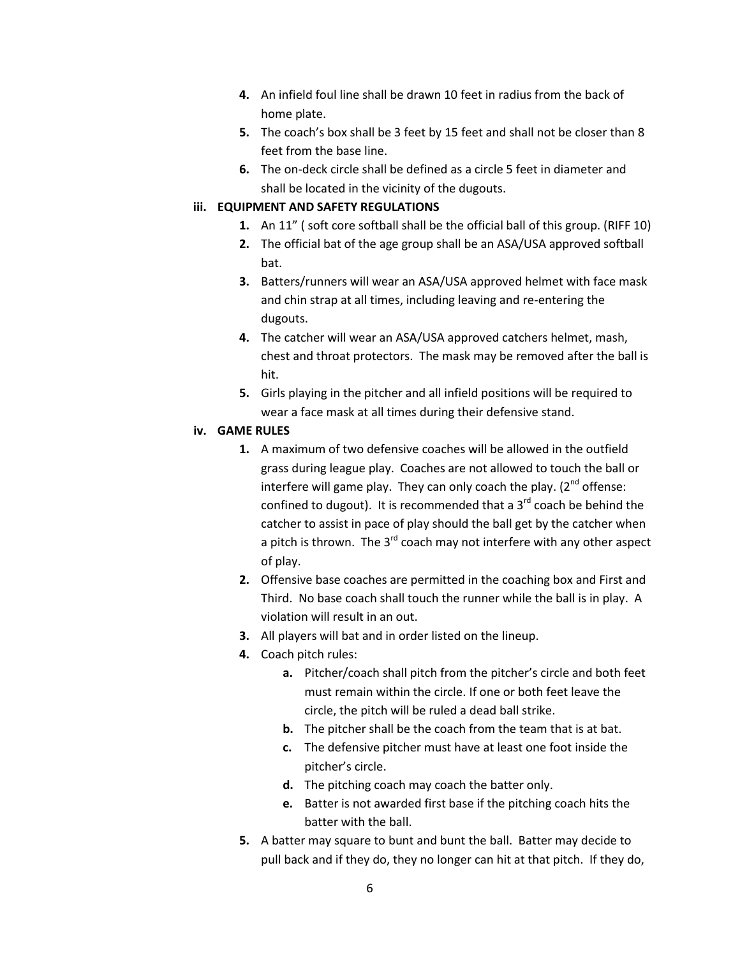- **4.** An infield foul line shall be drawn 10 feet in radius from the back of home plate.
- **5.** The coach's box shall be 3 feet by 15 feet and shall not be closer than 8 feet from the base line.
- **6.** The on-deck circle shall be defined as a circle 5 feet in diameter and shall be located in the vicinity of the dugouts.

## **iii. EQUIPMENT AND SAFETY REGULATIONS**

- **1.** An 11" ( soft core softball shall be the official ball of this group. (RIFF 10)
- **2.** The official bat of the age group shall be an ASA/USA approved softball bat.
- **3.** Batters/runners will wear an ASA/USA approved helmet with face mask and chin strap at all times, including leaving and re-entering the dugouts.
- **4.** The catcher will wear an ASA/USA approved catchers helmet, mash, chest and throat protectors. The mask may be removed after the ball is hit.
- **5.** Girls playing in the pitcher and all infield positions will be required to wear a face mask at all times during their defensive stand.

## **iv. GAME RULES**

- **1.** A maximum of two defensive coaches will be allowed in the outfield grass during league play. Coaches are not allowed to touch the ball or interfere will game play. They can only coach the play.  $(2^{nd}$  offense: confined to dugout). It is recommended that a  $3<sup>rd</sup>$  coach be behind the catcher to assist in pace of play should the ball get by the catcher when a pitch is thrown. The  $3^{rd}$  coach may not interfere with any other aspect of play.
- **2.** Offensive base coaches are permitted in the coaching box and First and Third. No base coach shall touch the runner while the ball is in play. A violation will result in an out.
- **3.** All players will bat and in order listed on the lineup.
- **4.** Coach pitch rules:
	- **a.** Pitcher/coach shall pitch from the pitcher's circle and both feet must remain within the circle. If one or both feet leave the circle, the pitch will be ruled a dead ball strike.
	- **b.** The pitcher shall be the coach from the team that is at bat.
	- **c.** The defensive pitcher must have at least one foot inside the pitcher's circle.
	- **d.** The pitching coach may coach the batter only.
	- **e.** Batter is not awarded first base if the pitching coach hits the batter with the ball.
- **5.** A batter may square to bunt and bunt the ball. Batter may decide to pull back and if they do, they no longer can hit at that pitch. If they do,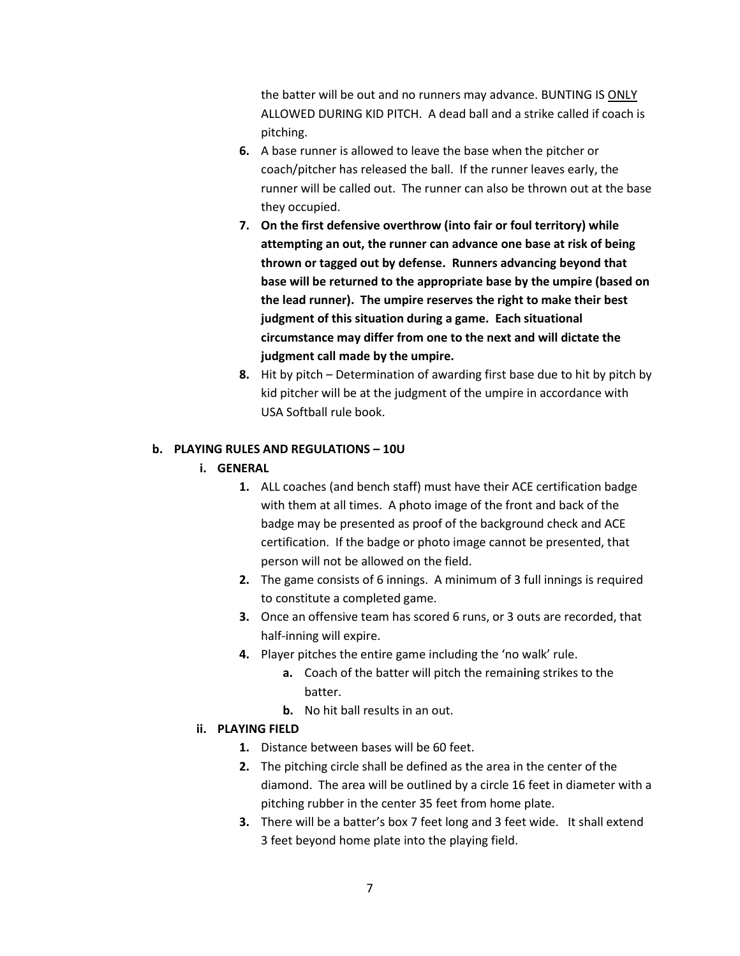the batter will be out and no runners may advance. BUNTING IS ONLY ALLOWED DURING KID PITCH. A dead ball and a strike called if coach is pitching.

- **6.** A base runner is allowed to leave the base when the pitcher or coach/pitcher has released the ball. If the runner leaves early, the runner will be called out. The runner can also be thrown out at the base they occupied.
- **7. On the first defensive overthrow (into fair or foul territory) while attempting an out, the runner can advance one base at risk of being thrown or tagged out by defense. Runners advancing beyond that base will be returned to the appropriate base by the umpire (based on the lead runner). The umpire reserves the right to make their best judgment of this situation during a game. Each situational circumstance may differ from one to the next and will dictate the judgment call made by the umpire.**
- **8.** Hit by pitch Determination of awarding first base due to hit by pitch by kid pitcher will be at the judgment of the umpire in accordance with USA Softball rule book.

#### **b. PLAYING RULES AND REGULATIONS – 10U**

- **i. GENERAL**
	- **1.** ALL coaches (and bench staff) must have their ACE certification badge with them at all times. A photo image of the front and back of the badge may be presented as proof of the background check and ACE certification. If the badge or photo image cannot be presented, that person will not be allowed on the field.
	- **2.** The game consists of 6 innings. A minimum of 3 full innings is required to constitute a completed game.
	- **3.** Once an offensive team has scored 6 runs, or 3 outs are recorded, that half-inning will expire.
	- **4.** Player pitches the entire game including the 'no walk' rule.
		- **a.** Coach of the batter will pitch the remain**i**ng strikes to the batter.
		- **b.** No hit ball results in an out.

#### **ii. PLAYING FIELD**

- **1.** Distance between bases will be 60 feet.
- **2.** The pitching circle shall be defined as the area in the center of the diamond. The area will be outlined by a circle 16 feet in diameter with a pitching rubber in the center 35 feet from home plate.
- **3.** There will be a batter's box 7 feet long and 3 feet wide. It shall extend 3 feet beyond home plate into the playing field.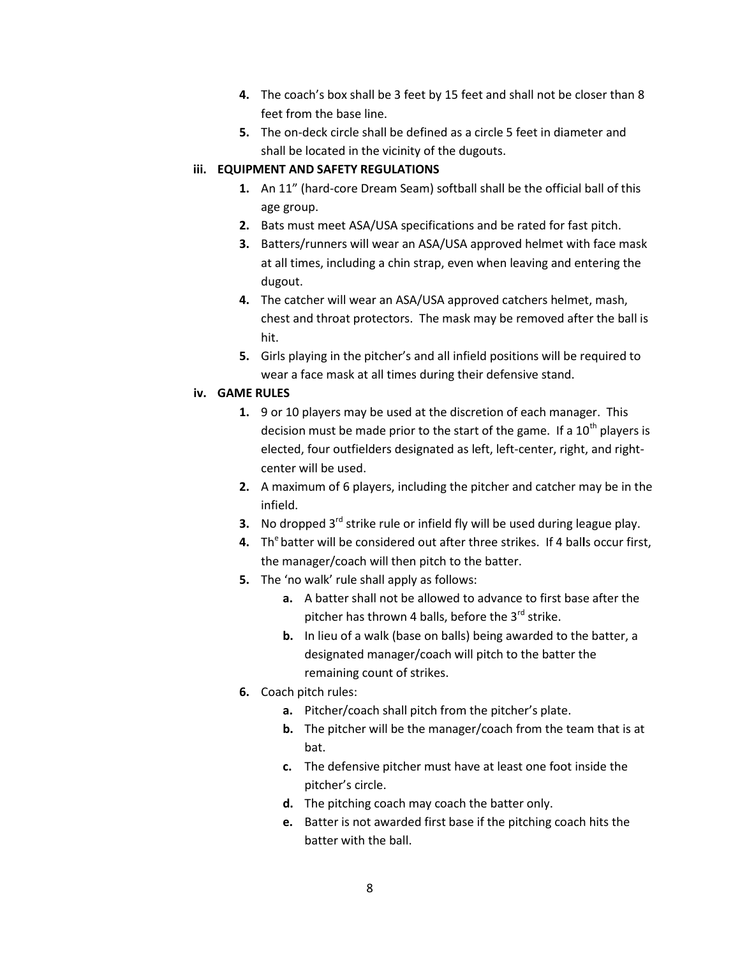- **4.** The coach's box shall be 3 feet by 15 feet and shall not be closer than 8 feet from the base line.
- **5.** The on-deck circle shall be defined as a circle 5 feet in diameter and shall be located in the vicinity of the dugouts.

## **iii. EQUIPMENT AND SAFETY REGULATIONS**

- **1.** An 11" (hard-core Dream Seam) softball shall be the official ball of this age group.
- **2.** Bats must meet ASA/USA specifications and be rated for fast pitch.
- **3.** Batters/runners will wear an ASA/USA approved helmet with face mask at all times, including a chin strap, even when leaving and entering the dugout.
- **4.** The catcher will wear an ASA/USA approved catchers helmet, mash, chest and throat protectors. The mask may be removed after the ball is hit.
- **5.** Girls playing in the pitcher's and all infield positions will be required to wear a face mask at all times during their defensive stand.

## **iv. GAME RULES**

- **1.** 9 or 10 players may be used at the discretion of each manager. This decision must be made prior to the start of the game. If a  $10<sup>th</sup>$  players is elected, four outfielders designated as left, left-center, right, and rightcenter will be used.
- **2.** A maximum of 6 players, including the pitcher and catcher may be in the infield.
- **3.** No dropped 3<sup>rd</sup> strike rule or infield fly will be used during league play.
- **4.** Th<sup>e</sup> batter will be considered out after three strikes. If 4 balls occur first, the manager/coach will then pitch to the batter.
- **5.** The 'no walk' rule shall apply as follows:
	- **a.** A batter shall not be allowed to advance to first base after the pitcher has thrown 4 balls, before the  $3^{rd}$  strike.
	- **b.** In lieu of a walk (base on balls) being awarded to the batter, a designated manager/coach will pitch to the batter the remaining count of strikes.
- **6.** Coach pitch rules:
	- **a.** Pitcher/coach shall pitch from the pitcher's plate.
	- **b.** The pitcher will be the manager/coach from the team that is at bat.
	- **c.** The defensive pitcher must have at least one foot inside the pitcher's circle.
	- **d.** The pitching coach may coach the batter only.
	- **e.** Batter is not awarded first base if the pitching coach hits the batter with the ball.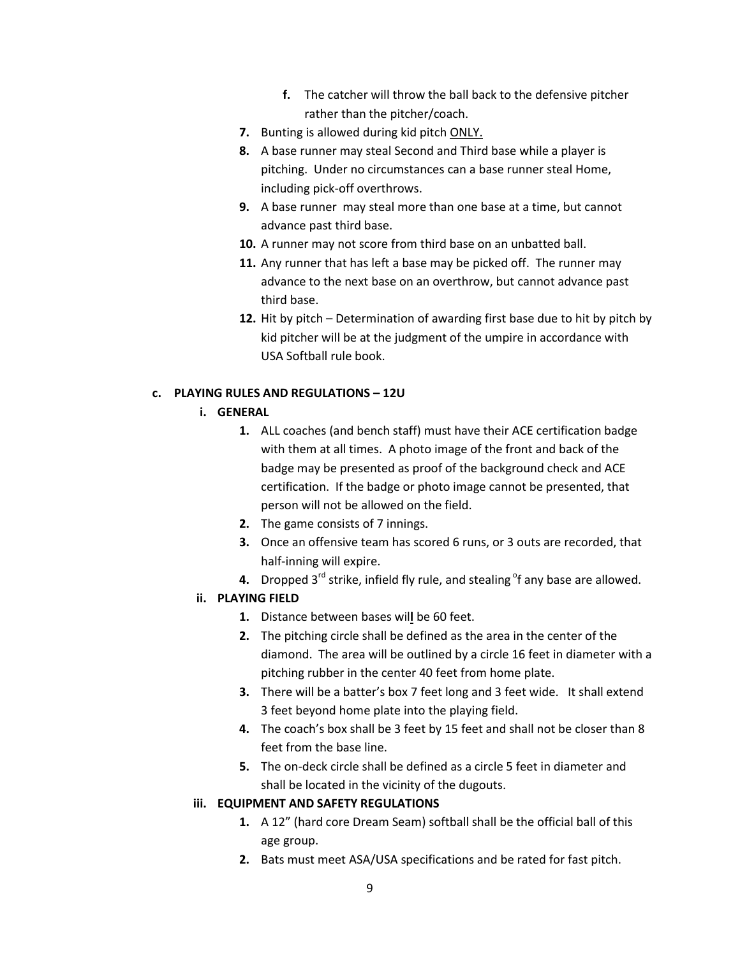- **f.** The catcher will throw the ball back to the defensive pitcher rather than the pitcher/coach.
- **7.** Bunting is allowed during kid pitch ONLY.
- **8.** A base runner may steal Second and Third base while a player is pitching. Under no circumstances can a base runner steal Home, including pick-off overthrows.
- **9.** A base runner may steal more than one base at a time, but cannot advance past third base.
- **10.** A runner may not score from third base on an unbatted ball.
- **11.** Any runner that has left a base may be picked off. The runner may advance to the next base on an overthrow, but cannot advance past third base.
- **12.** Hit by pitch Determination of awarding first base due to hit by pitch by kid pitcher will be at the judgment of the umpire in accordance with USA Softball rule book.

## **c. PLAYING RULES AND REGULATIONS – 12U**

- **i. GENERAL**
	- **1.** ALL coaches (and bench staff) must have their ACE certification badge with them at all times. A photo image of the front and back of the badge may be presented as proof of the background check and ACE certification. If the badge or photo image cannot be presented, that person will not be allowed on the field.
	- **2.** The game consists of 7 innings.
	- **3.** Once an offensive team has scored 6 runs, or 3 outs are recorded, that half-inning will expire.
	- **4.** Dropped 3<sup>rd</sup> strike, infield fly rule, and stealing <sup>o</sup>f any base are allowed.

## **ii. PLAYING FIELD**

- **1.** Distance between bases wil**l** be 60 feet.
- **2.** The pitching circle shall be defined as the area in the center of the diamond. The area will be outlined by a circle 16 feet in diameter with a pitching rubber in the center 40 feet from home plate.
- **3.** There will be a batter's box 7 feet long and 3 feet wide. It shall extend 3 feet beyond home plate into the playing field.
- **4.** The coach's box shall be 3 feet by 15 feet and shall not be closer than 8 feet from the base line.
- **5.** The on-deck circle shall be defined as a circle 5 feet in diameter and shall be located in the vicinity of the dugouts.

#### **iii. EQUIPMENT AND SAFETY REGULATIONS**

- **1.** A 12" (hard core Dream Seam) softball shall be the official ball of this age group.
- **2.** Bats must meet ASA/USA specifications and be rated for fast pitch.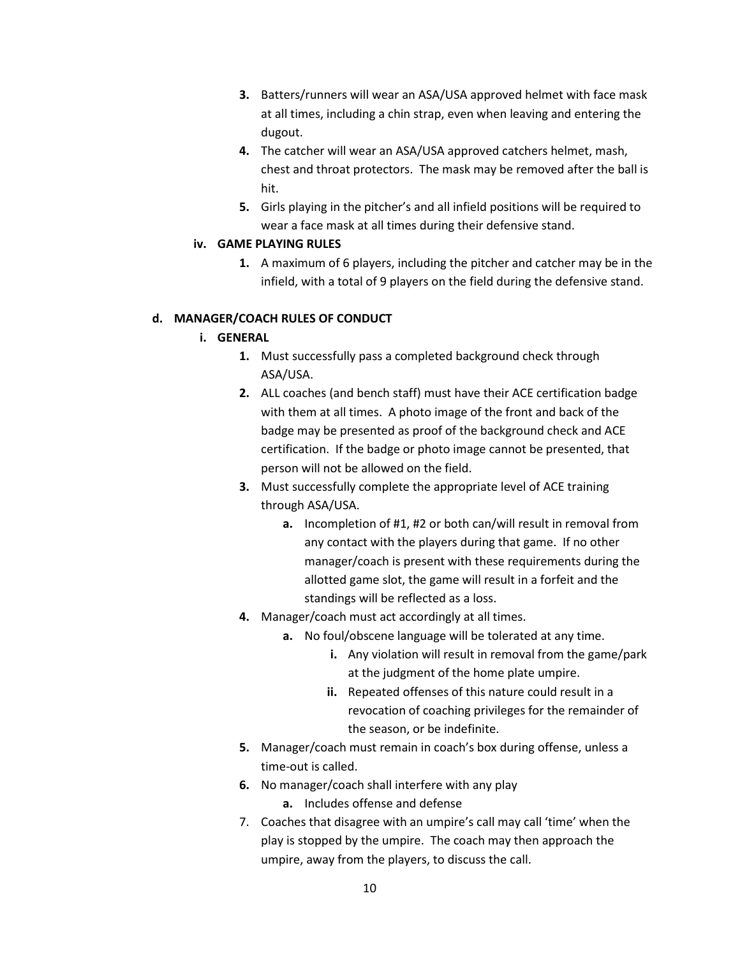- **3.** Batters/runners will wear an ASA/USA approved helmet with face mask at all times, including a chin strap, even when leaving and entering the dugout.
- **4.** The catcher will wear an ASA/USA approved catchers helmet, mash, chest and throat protectors. The mask may be removed after the ball is hit.
- **5.** Girls playing in the pitcher's and all infield positions will be required to wear a face mask at all times during their defensive stand.

## **iv. GAME PLAYING RULES**

**1.** A maximum of 6 players, including the pitcher and catcher may be in the infield, with a total of 9 players on the field during the defensive stand.

# **d. MANAGER/COACH RULES OF CONDUCT**

# **i. GENERAL**

- **1.** Must successfully pass a completed background check through ASA/USA.
- **2.** ALL coaches (and bench staff) must have their ACE certification badge with them at all times. A photo image of the front and back of the badge may be presented as proof of the background check and ACE certification. If the badge or photo image cannot be presented, that person will not be allowed on the field.
- **3.** Must successfully complete the appropriate level of ACE training through ASA/USA.
	- **a.** Incompletion of #1, #2 or both can/will result in removal from any contact with the players during that game. If no other manager/coach is present with these requirements during the allotted game slot, the game will result in a forfeit and the standings will be reflected as a loss.
- **4.** Manager/coach must act accordingly at all times.
	- **a.** No foul/obscene language will be tolerated at any time.
		- **i.** Any violation will result in removal from the game/park at the judgment of the home plate umpire.
		- **ii.** Repeated offenses of this nature could result in a revocation of coaching privileges for the remainder of the season, or be indefinite.
- **5.** Manager/coach must remain in coach's box during offense, unless a time-out is called.
- **6.** No manager/coach shall interfere with any play
	- **a.** Includes offense and defense
- 7. Coaches that disagree with an umpire's call may call 'time' when the play is stopped by the umpire. The coach may then approach the umpire, away from the players, to discuss the call.